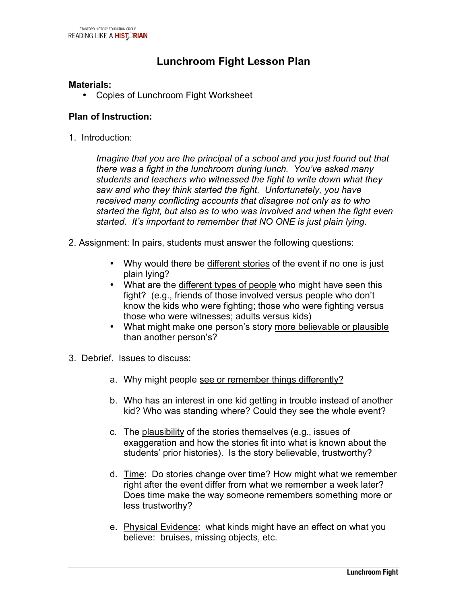## **Lunchroom Fight Lesson Plan**

#### **Materials:**

• Copies of Lunchroom Fight Worksheet

#### **Plan of Instruction:**

1. Introduction:

*Imagine that you are the principal of a school and you just found out that there was a fight in the lunchroom during lunch. You've asked many students and teachers who witnessed the fight to write down what they saw and who they think started the fight. Unfortunately, you have received many conflicting accounts that disagree not only as to who started the fight, but also as to who was involved and when the fight even started. It's important to remember that NO ONE is just plain lying.*

- 2. Assignment: In pairs, students must answer the following questions:
	- Why would there be different stories of the event if no one is just plain lying?
	- What are the different types of people who might have seen this fight? (e.g., friends of those involved versus people who don't know the kids who were fighting; those who were fighting versus those who were witnesses; adults versus kids)
	- What might make one person's story more believable or plausible than another person's?
- 3. Debrief. Issues to discuss:
	- a. Why might people see or remember things differently?
	- b. Who has an interest in one kid getting in trouble instead of another kid? Who was standing where? Could they see the whole event?
	- c. The plausibility of the stories themselves (e.g., issues of exaggeration and how the stories fit into what is known about the students' prior histories). Is the story believable, trustworthy?
	- d. Time: Do stories change over time? How might what we remember right after the event differ from what we remember a week later? Does time make the way someone remembers something more or less trustworthy?
	- e. Physical Evidence: what kinds might have an effect on what you believe: bruises, missing objects, etc.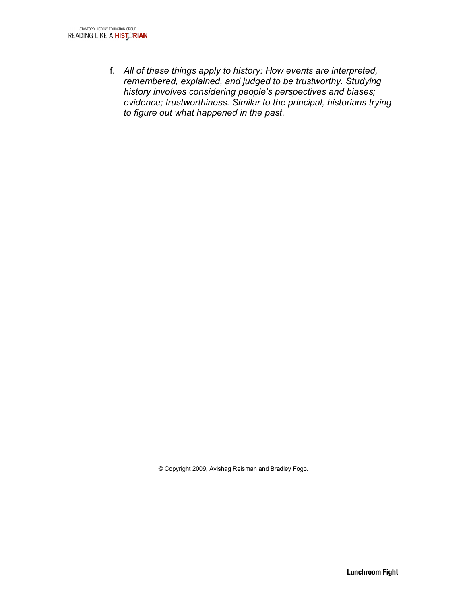f. *All of these things apply to history: How events are interpreted, remembered, explained, and judged to be trustworthy. Studying history involves considering people's perspectives and biases; evidence; trustworthiness. Similar to the principal, historians trying to figure out what happened in the past*.

© Copyright 2009, Avishag Reisman and Bradley Fogo.